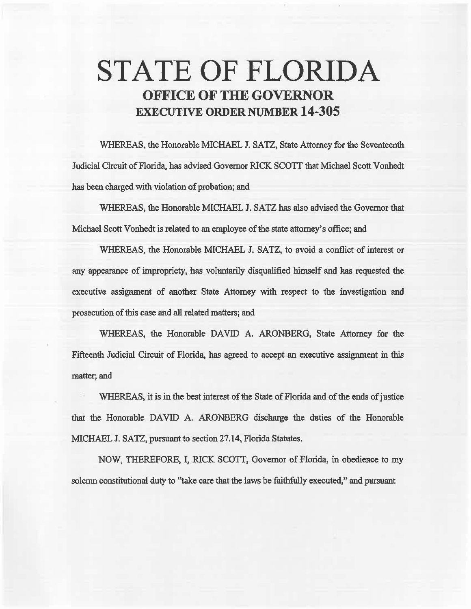# **STATE OF FLORIDA OFFICE OF THE GOVERNOR EXECUTIVE ORDER NUMBER 14-305**

WHEREAS, the Honorable MICHAEL J. SATZ, State Attorney for the Seventeenth Judicial Circuit of Florida, has advised Governor R1CK SCOIT that Michael Scott Vonhedt has been charged with violation of probation; and

WHEREAS, 1he Honorable MICHAEL J. SATZ has also advised the Governor that Michael Scott Vonhedt is related to an employee of the state attorney's office; and

WHEREAS, the Honorable MICHAEL *1.* SATZ, to avoid a conflict of interest or any appearance of impropriety, has volmtarily disqualified himself and has requested the executive assignment of another State Attorney with respect to the investigation and prosecution of this case and all related matters; and

WHEREAS, the Honorable DAVID A. ARONBERG, State Attorney for the Fifteenth. fadicial Circuit of Florida, has agreed to accept an executive assignment in this matter; and

WHEREAS, it is in the best interest of the State of Florida and of the ends of justice that the Honorable DAVID A. ARONBERG discharge the duties of the Honorable MICHAEL J. SATZ, pursuant to section 27.14, Florida Statutes.

NOW, THEREFORE, I, RICK SCOTI, Governor of Florida, in obedience to my solemn constitutional duty to "take care that the laws be faithfully executed," and pursuant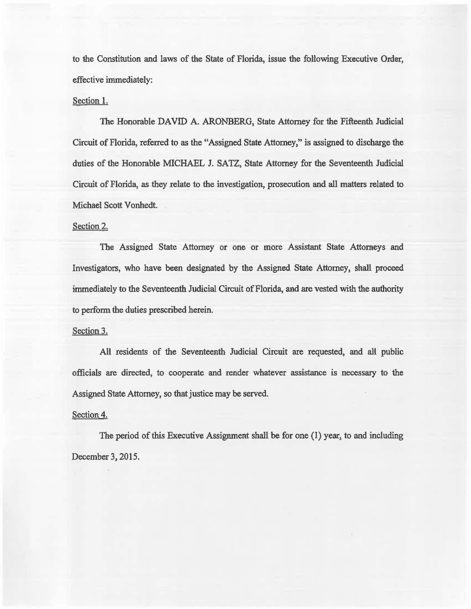to the Constitution and laws of the State of Florida, issue the following Executive Order, effective immediately:

## Section 1.

The Honorable DAVID A. ARONBERG, State Attorney for the Fifteenth Judicial Circuit of Florida, referred to as the "Assigned State Attorney," is assigned to discharge the duties of the Honorable MICHAEL J. SATZ, State Attorney for the Seventeenth Judicial Circuit of Florida, as they relate to the investigation, prosecution and all matters related to Michael Scott Vonhedt.

#### Section 2.

The Assigned State Attomey or one or more Assistant State Attomeys and Investigators, who have been designated by the Assigned State Attorney, shall proceed immediately to the Seventeenth Judicial Circuit of Florida, aad are vested with the authority to perform the duties prescribed herein.

#### Section 3.

All residents of the Seventeenth Judicial Circuit are requested, and alt public officials are directed, to cooperate and render whatever assistance is necessary to the Assigned State Attorney, so that justice may be served.

### Section 4.

The period of this Executive Assignment shall be for one (1) year, to and including December 3, 2015.